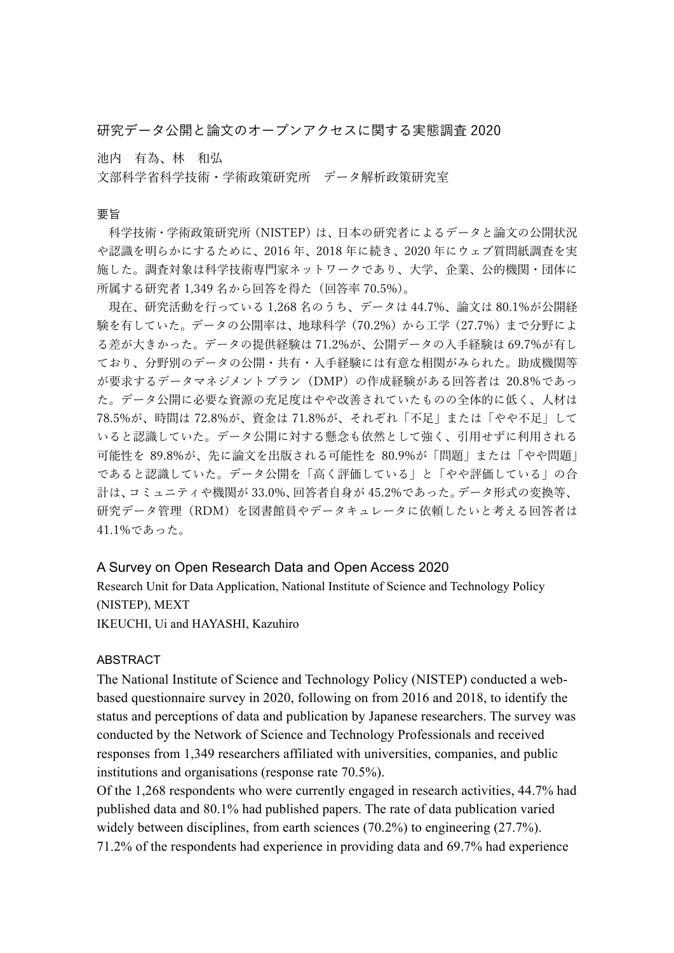研究データ公開と論文のオープンアクセスに関する実態調査 2020

池内 有為、林 和弘

⽂部科学省科学技術・学術政策研究所 データ解析政策研究室

## 要旨

科学技術・学術政策研究所(NISTEP)は、⽇本の研究者によるデータと論⽂の公開状況 や認識を明らかにするために、2016 年、2018 年に続き、2020 年にウェブ質問紙調査を実 施した。調査対象は科学技術専門家ネットワークであり、大学、企業、公的機関・団体に 所属する研究者 1,349 名から回答を得た(回答率 70.5%)。

現在、研究活動を⾏っている 1,268 名のうち、データは 44.7%、論⽂は 80.1%が公開経 験を有していた。データの公開率は、地球科学(70.2%)から⼯学(27.7%)まで分野によ る差が大きかった。データの提供経験は 71.2%が、公開データの入手経験は 69.7%が有し ており、分野別のデータの公開・共有・入手経験には有意な相関がみられた。助成機関等 が要求するデータマネジメントプラン(DMP)の作成経験がある回答者は 20.8%であっ た。データ公開に必要な資源の充⾜度はやや改善されていたものの全体的に低く、⼈材は 78.5%が、時間は 72.8%が、資⾦は 71.8%が、それぞれ「不⾜」または「やや不⾜」して いると認識していた。データ公開に対する懸念も依然として強く、引用せずに利用される 可能性を 89.8%が、先に論⽂を出版される可能性を 80.9%が「問題」または「やや問題」 であると認識していた。データ公開を「⾼く評価している」と「やや評価している」の合 計は、コミュニティや機関が 33.0%、回答者自身が 45.2%であった。データ形式の変換等、 研究データ管理(RDM)を図書館員やデータキュレータに依頼したいと考える回答者は 41.1%であった。

## A Survey on Open Research Data and Open Access 2020

Research Unit for Data Application, National Institute of Science and Technology Policy (NISTEP), MEXT

IKEUCHI, Ui and HAYASHI, Kazuhiro

## ABSTRACT

The National Institute of Science and Technology Policy (NISTEP) conducted a webbased questionnaire survey in 2020, following on from 2016 and 2018, to identify the status and perceptions of data and publication by Japanese researchers. The survey was conducted by the Network of Science and Technology Professionals and received responses from 1,349 researchers affiliated with universities, companies, and public institutions and organisations (response rate 70.5%).

Of the 1,268 respondents who were currently engaged in research activities, 44.7% had published data and 80.1% had published papers. The rate of data publication varied widely between disciplines, from earth sciences (70.2%) to engineering (27.7%). 71.2% of the respondents had experience in providing data and 69.7% had experience